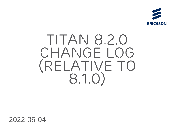

## *TITAN 8.2.0 Change log (Relative to 8.1.0)*

2022-05-04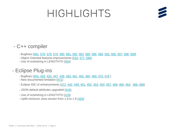## *Highlights*



#### - C++ compiler

- Bugfixes [\(481,](https://gitlab.eclipse.org/eclipse/titan/titan.core/-/issues/481) [576](https://gitlab.eclipse.org/eclipse/titan/titan.core/-/issues/576), [578](https://gitlab.eclipse.org/eclipse/titan/titan.core/-/issues/578), [579,](https://gitlab.eclipse.org/eclipse/titan/titan.core/-/issues/579) [580](https://gitlab.eclipse.org/eclipse/titan/titan.core/-/issues/580), [581,](https://gitlab.eclipse.org/eclipse/titan/titan.core/-/issues/581) [582](https://gitlab.eclipse.org/eclipse/titan/titan.core/-/issues/582), [583](https://gitlab.eclipse.org/eclipse/titan/titan.core/-/issues/583), [585,](https://gitlab.eclipse.org/eclipse/titan/titan.core/-/issues/585) [586](https://gitlab.eclipse.org/eclipse/titan/titan.core/-/issues/586), [588](https://gitlab.eclipse.org/eclipse/titan/titan.core/-/issues/588), [592,](https://gitlab.eclipse.org/eclipse/titan/titan.core/-/issues/592) [595,](https://gitlab.eclipse.org/eclipse/titan/titan.core/-/issues/595) [597,](https://gitlab.eclipse.org/eclipse/titan/titan.core/-/issues/597) [598,](https://gitlab.eclipse.org/eclipse/titan/titan.core/-/issues/598) [599](https://gitlab.eclipse.org/eclipse/titan/titan.core/-/issues/599))
- Object Oriented features improvements ([533,](https://gitlab.eclipse.org/eclipse/titan/titan.core/-/issues/533) [577,](https://gitlab.eclipse.org/eclipse/titan/titan.core/-/issues/577) [596](https://gitlab.eclipse.org/eclipse/titan/titan.core/-/issues/596))
- Use of octetstring in LENGTHTO [\(554\)](https://gitlab.eclipse.org/eclipse/titan/titan.core/-/issues/554)

#### - Eclipse Plug-ins

- Bugfixes [\(404,](https://gitlab.eclipse.org/eclipse/titan/titan.EclipsePlug-ins/-/issues/404) [429](https://gitlab.eclipse.org/eclipse/titan/titan.EclipsePlug-ins/-/issues/429), [432,](https://gitlab.eclipse.org/eclipse/titan/titan.EclipsePlug-ins/-/issues/432) [447,](https://gitlab.eclipse.org/eclipse/titan/titan.EclipsePlug-ins/-/issues/447) [448](https://gitlab.eclipse.org/eclipse/titan/titan.EclipsePlug-ins/-/issues/448), [450,](https://gitlab.eclipse.org/eclipse/titan/titan.EclipsePlug-ins/-/issues/450) [461](https://gitlab.eclipse.org/eclipse/titan/titan.EclipsePlug-ins/-/issues/461), [462,](https://gitlab.eclipse.org/eclipse/titan/titan.EclipsePlug-ins/-/issues/462) [465,](https://gitlab.eclipse.org/eclipse/titan/titan.EclipsePlug-ins/-/issues/465) [469,](https://gitlab.eclipse.org/eclipse/titan/titan.EclipsePlug-ins/-/issues/469) [475,](https://gitlab.eclipse.org/eclipse/titan/titan.EclipsePlug-ins/-/issues/475) [476](https://gitlab.eclipse.org/eclipse/titan/titan.EclipsePlug-ins/-/issues/476) )
- New documented limitation [\(471](https://gitlab.eclipse.org/eclipse/titan/titan.EclipsePlug-ins/-/issues/471))
- Eclipse IDE UI enhancements ([371,](https://gitlab.eclipse.org/eclipse/titan/titan.EclipsePlug-ins/-/issues/371) [442,](https://gitlab.eclipse.org/eclipse/titan/titan.EclipsePlug-ins/-/issues/442) [449,](https://gitlab.eclipse.org/eclipse/titan/titan.EclipsePlug-ins/-/issues/449) [451,](https://gitlab.eclipse.org/eclipse/titan/titan.EclipsePlug-ins/-/issues/451) [452](https://gitlab.eclipse.org/eclipse/titan/titan.EclipsePlug-ins/-/issues/452), [453,](https://gitlab.eclipse.org/eclipse/titan/titan.EclipsePlug-ins/-/issues/453) [454,](https://gitlab.eclipse.org/eclipse/titan/titan.EclipsePlug-ins/-/issues/454) [457](https://gitlab.eclipse.org/eclipse/titan/titan.EclipsePlug-ins/-/issues/457), [459,](https://gitlab.eclipse.org/eclipse/titan/titan.EclipsePlug-ins/-/issues/459) [460,](https://gitlab.eclipse.org/eclipse/titan/titan.EclipsePlug-ins/-/issues/460) [464](https://gitlab.eclipse.org/eclipse/titan/titan.EclipsePlug-ins/-/issues/464), [466,](https://gitlab.eclipse.org/eclipse/titan/titan.EclipsePlug-ins/-/issues/466) [468\)](https://gitlab.eclipse.org/eclipse/titan/titan.EclipsePlug-ins/-/issues/468)
- JSON default attributes upgraded [\(416\)](https://gitlab.eclipse.org/eclipse/titan/titan.EclipsePlug-ins/-/issues/416)
- Use of octetstring in LENGTHTO [\(419\)](https://gitlab.eclipse.org/eclipse/titan/titan.EclipsePlug-ins/-/issues/419)
- Uplift minimum Java version from 1.6 to 1.8 ([463](https://gitlab.eclipse.org/eclipse/titan/titan.EclipsePlug-ins/-/issues/463))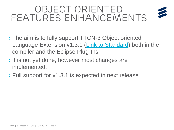#### *Object Oriented features enhancements*

- › The aim is to fully support TTCN-3 Object oriented Language Extension v1.3.1 [\(Link to Standard](https://www.etsi.org/deliver/etsi_es/203700_203799/203790/01.03.01_60/es_203790v010301p.pdf)) both in the compiler and the Eclipse Plug-Ins
- › It is not yet done, however most changes are implemented.
- › Full support for v1.3.1 is expected in next release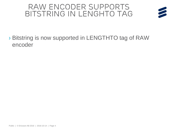#### *RAW Encoder supports bitstring in lenghto tag*



#### › Bitstring is now supported in LENGTHTO tag of RAW encoder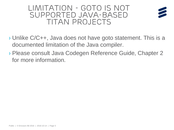#### *LIMitation - GOTO is not supported java-based Titan projects*



- › Unlike C/C++, Java does not have goto statement. This is a documented limitation of the Java compiler.
- › Please consult Java Codegen Reference Guide, Chapter 2 for more information.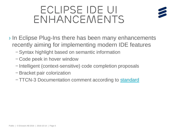### *Eclipse IDE UI enhancements*



- › In Eclipse Plug-Ins there has been many enhancements recently aiming for implementing modern IDE features
	- *–* Syntax highlight based on semantic information
	- *–* Code peek in hover window
	- *–* Intelligent (context-sensitive) code completion proposals
	- *–* Bracket pair colorization
	- *–* TTCN-3 Documentation comment according to [standard](https://www.etsi.org/deliver/etsi_es/201800_201899/20187310/04.05.01_60/es_20187310v040501p.pdf)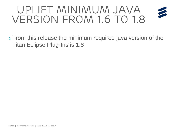#### *Uplift minimum Java version from 1.6 to 1.8*

› From this release the minimum required java version of the Titan Eclipse Plug-Ins is 1.8